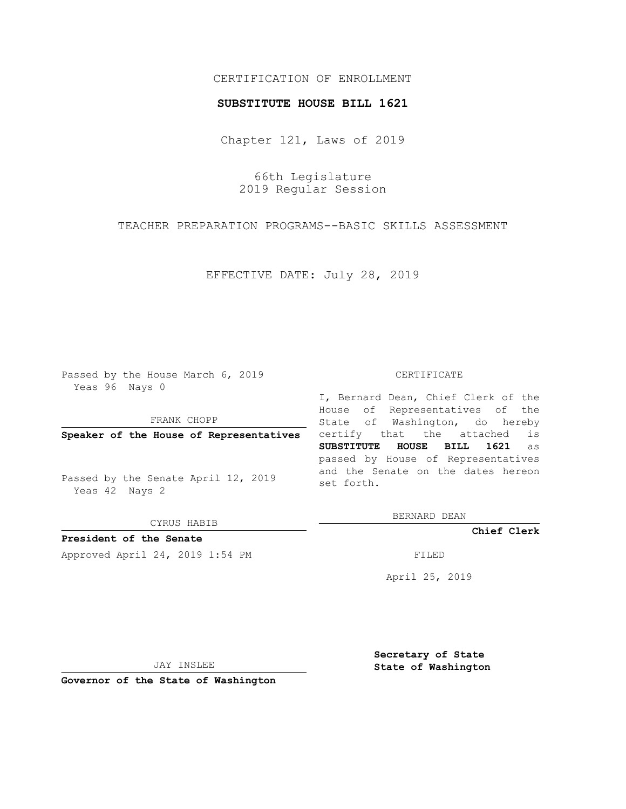# CERTIFICATION OF ENROLLMENT

### **SUBSTITUTE HOUSE BILL 1621**

Chapter 121, Laws of 2019

66th Legislature 2019 Regular Session

TEACHER PREPARATION PROGRAMS--BASIC SKILLS ASSESSMENT

EFFECTIVE DATE: July 28, 2019

Passed by the House March 6, 2019 Yeas 96 Nays 0

FRANK CHOPP

**Speaker of the House of Representatives**

Passed by the Senate April 12, 2019 Yeas 42 Nays 2

CYRUS HABIB

**President of the Senate**

Approved April 24, 2019 1:54 PM FILED

#### CERTIFICATE

I, Bernard Dean, Chief Clerk of the House of Representatives of the State of Washington, do hereby certify that the attached is **SUBSTITUTE HOUSE BILL 1621** as passed by House of Representatives and the Senate on the dates hereon set forth.

BERNARD DEAN

**Chief Clerk**

April 25, 2019

JAY INSLEE

**Governor of the State of Washington**

**Secretary of State State of Washington**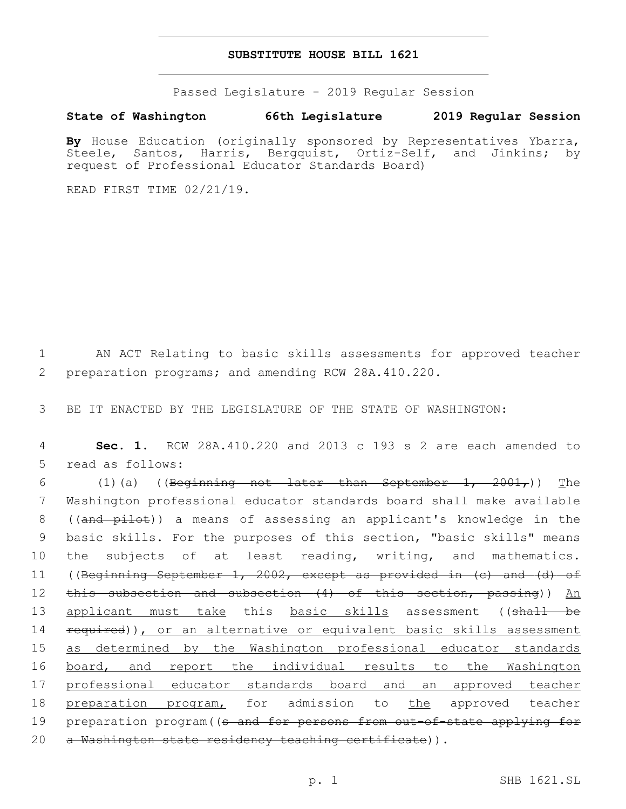### **SUBSTITUTE HOUSE BILL 1621**

Passed Legislature - 2019 Regular Session

## **State of Washington 66th Legislature 2019 Regular Session**

By House Education (originally sponsored by Representatives Ybarra, Steele, Santos, Harris, Bergquist, Ortiz-Self, and Jinkins; by request of Professional Educator Standards Board)

READ FIRST TIME 02/21/19.

1 AN ACT Relating to basic skills assessments for approved teacher 2 preparation programs; and amending RCW 28A.410.220.

3 BE IT ENACTED BY THE LEGISLATURE OF THE STATE OF WASHINGTON:

4 **Sec. 1.** RCW 28A.410.220 and 2013 c 193 s 2 are each amended to 5 read as follows:

6  $(1)(a)$  ((Beginning not later than September 1, 2001,)) The 7 Washington professional educator standards board shall make available 8 ((and pilot)) a means of assessing an applicant's knowledge in the 9 basic skills. For the purposes of this section, "basic skills" means 10 the subjects of at least reading, writing, and mathematics. 11 ((Beginning September 1, 2002, except as provided in (c) and (d) of 12 this subsection and subsection (4) of this section, passing)) An 13 applicant must take this basic skills assessment ((shall be 14 required)), or an alternative or equivalent basic skills assessment 15 as determined by the Washington professional educator standards 16 board, and report the individual results to the Washington 17 professional educator standards board and an approved teacher 18 preparation program, for admission to the approved teacher 19 preparation program ((s and for persons from out-of-state applying for 20 a Washington state residency teaching certificate)).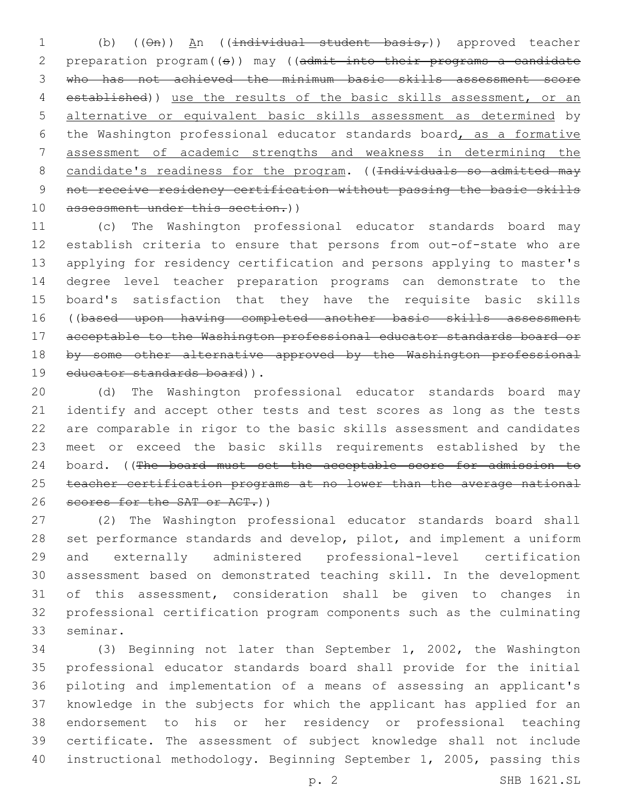1 (b) (( $\Theta$ <del>n</del>)) An (( $\angle$ individual student basis,)) approved teacher 2 preparation program((s)) may ((admit into their programs a candidate who has not achieved the minimum basic skills assessment score 4 established)) use the results of the basic skills assessment, or an alternative or equivalent basic skills assessment as determined by the Washington professional educator standards board, as a formative assessment of academic strengths and weakness in determining the 8 candidate's readiness for the program. ((Individuals so admitted may not receive residency certification without passing the basic skills assessment under this section.))

 (c) The Washington professional educator standards board may establish criteria to ensure that persons from out-of-state who are applying for residency certification and persons applying to master's degree level teacher preparation programs can demonstrate to the board's satisfaction that they have the requisite basic skills ((based upon having completed another basic skills assessment acceptable to the Washington professional educator standards board or 18 by some other alternative approved by the Washington professional 19 educator standards board)).

 (d) The Washington professional educator standards board may identify and accept other tests and test scores as long as the tests are comparable in rigor to the basic skills assessment and candidates meet or exceed the basic skills requirements established by the 24 board. ((The board must set the acceptable score for admission to teacher certification programs at no lower than the average national 26 scores for the SAT or ACT.))

 (2) The Washington professional educator standards board shall set performance standards and develop, pilot, and implement a uniform and externally administered professional-level certification assessment based on demonstrated teaching skill. In the development of this assessment, consideration shall be given to changes in professional certification program components such as the culminating 33 seminar.

 (3) Beginning not later than September 1, 2002, the Washington professional educator standards board shall provide for the initial piloting and implementation of a means of assessing an applicant's knowledge in the subjects for which the applicant has applied for an endorsement to his or her residency or professional teaching certificate. The assessment of subject knowledge shall not include instructional methodology. Beginning September 1, 2005, passing this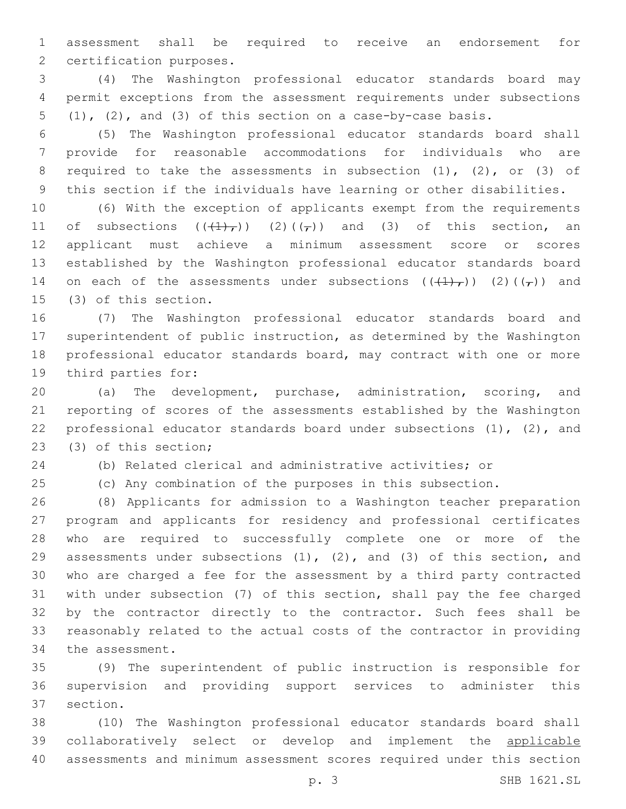assessment shall be required to receive an endorsement for 2 certification purposes.

 (4) The Washington professional educator standards board may permit exceptions from the assessment requirements under subsections (1), (2), and (3) of this section on a case-by-case basis.

 (5) The Washington professional educator standards board shall provide for reasonable accommodations for individuals who are 8 required to take the assessments in subsection (1), (2), or (3) of this section if the individuals have learning or other disabilities.

 (6) With the exception of applicants exempt from the requirements 11 of subsections  $((\{+\})_r)$   $(2)((_r))$  and  $(3)$  of this section, an applicant must achieve a minimum assessment score or scores established by the Washington professional educator standards board 14 on each of the assessments under subsections  $((+1)_I)$  (2)( $(\tau)$ ) and (3) of this section.15

 (7) The Washington professional educator standards board and superintendent of public instruction, as determined by the Washington professional educator standards board, may contract with one or more 19 third parties for:

 (a) The development, purchase, administration, scoring, and reporting of scores of the assessments established by the Washington 22 professional educator standards board under subsections (1), (2), and (3) of this section;23

(b) Related clerical and administrative activities; or

(c) Any combination of the purposes in this subsection.

 (8) Applicants for admission to a Washington teacher preparation program and applicants for residency and professional certificates who are required to successfully complete one or more of the assessments under subsections (1), (2), and (3) of this section, and who are charged a fee for the assessment by a third party contracted with under subsection (7) of this section, shall pay the fee charged by the contractor directly to the contractor. Such fees shall be reasonably related to the actual costs of the contractor in providing 34 the assessment.

 (9) The superintendent of public instruction is responsible for supervision and providing support services to administer this 37 section.

 (10) The Washington professional educator standards board shall collaboratively select or develop and implement the applicable assessments and minimum assessment scores required under this section